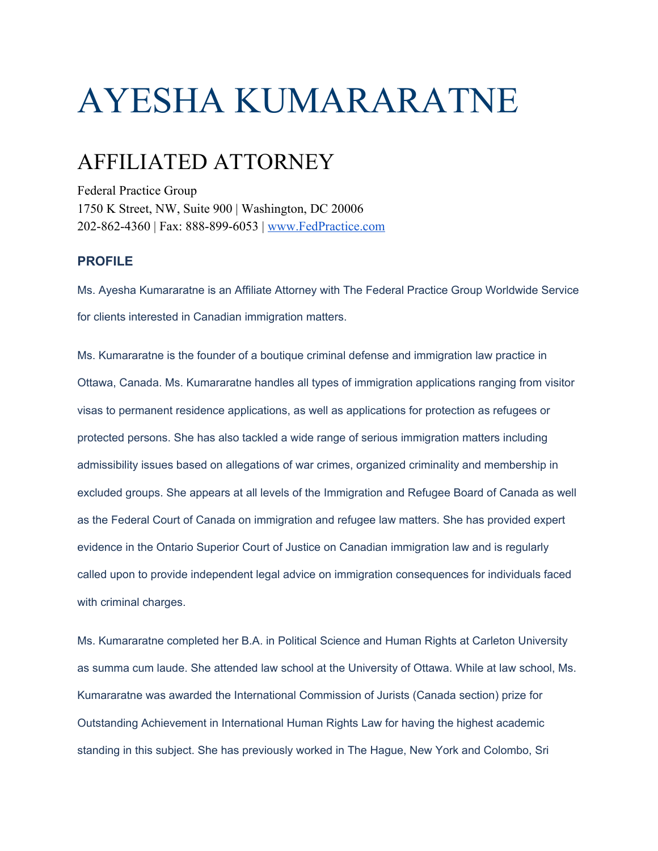# AYESHA KUMARARATNE

## AFFILIATED ATTORNEY

Federal Practice Group 1750 K Street, NW, Suite 900 | Washington, DC 20006 202-862-4360 | Fax: 888-899-6053 | [www.FedPractice.com](http://www.fedpractice.com/)

#### **PROFILE**

Ms. Ayesha Kumararatne is an Affiliate Attorney with The Federal Practice Group Worldwide Service for clients interested in Canadian immigration matters.

Ms. Kumararatne is the founder of a boutique criminal defense and immigration law practice in Ottawa, Canada. Ms. Kumararatne handles all types of immigration applications ranging from visitor visas to permanent residence applications, as well as applications for protection as refugees or protected persons. She has also tackled a wide range of serious immigration matters including admissibility issues based on allegations of war crimes, organized criminality and membership in excluded groups. She appears at all levels of the Immigration and Refugee Board of Canada as well as the Federal Court of Canada on immigration and refugee law matters. She has provided expert evidence in the Ontario Superior Court of Justice on Canadian immigration law and is regularly called upon to provide independent legal advice on immigration consequences for individuals faced with criminal charges.

Ms. Kumararatne completed her B.A. in Political Science and Human Rights at Carleton University as summa cum laude. She attended law school at the University of Ottawa. While at law school, Ms. Kumararatne was awarded the International Commission of Jurists (Canada section) prize for Outstanding Achievement in International Human Rights Law for having the highest academic standing in this subject. She has previously worked in The Hague, New York and Colombo, Sri